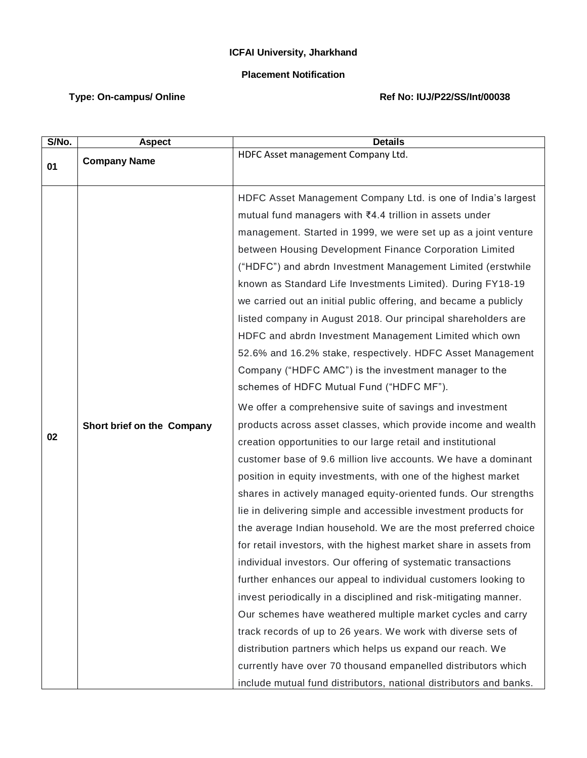## **ICFAI University, Jharkhand**

## **Placement Notification**

## Type: On-campus/ Online **Ref No: IUJ/P22/SS/Int/00038**

| S/No. | <b>Aspect</b>              | <b>Details</b>                                                                                                                                                                                                                                                                                                                                                                                                                                                                                                                                                                                                                                                                                                                                                                                                                                                                                                                                                                                                                                                                                                                                          |
|-------|----------------------------|---------------------------------------------------------------------------------------------------------------------------------------------------------------------------------------------------------------------------------------------------------------------------------------------------------------------------------------------------------------------------------------------------------------------------------------------------------------------------------------------------------------------------------------------------------------------------------------------------------------------------------------------------------------------------------------------------------------------------------------------------------------------------------------------------------------------------------------------------------------------------------------------------------------------------------------------------------------------------------------------------------------------------------------------------------------------------------------------------------------------------------------------------------|
| 01    | <b>Company Name</b>        | HDFC Asset management Company Ltd.                                                                                                                                                                                                                                                                                                                                                                                                                                                                                                                                                                                                                                                                                                                                                                                                                                                                                                                                                                                                                                                                                                                      |
|       |                            | HDFC Asset Management Company Ltd. is one of India's largest<br>mutual fund managers with ₹4.4 trillion in assets under<br>management. Started in 1999, we were set up as a joint venture<br>between Housing Development Finance Corporation Limited<br>("HDFC") and abrdn Investment Management Limited (erstwhile<br>known as Standard Life Investments Limited). During FY18-19<br>we carried out an initial public offering, and became a publicly<br>listed company in August 2018. Our principal shareholders are<br>HDFC and abrdn Investment Management Limited which own<br>52.6% and 16.2% stake, respectively. HDFC Asset Management<br>Company ("HDFC AMC") is the investment manager to the<br>schemes of HDFC Mutual Fund ("HDFC MF").                                                                                                                                                                                                                                                                                                                                                                                                    |
| 02    | Short brief on the Company | We offer a comprehensive suite of savings and investment<br>products across asset classes, which provide income and wealth<br>creation opportunities to our large retail and institutional<br>customer base of 9.6 million live accounts. We have a dominant<br>position in equity investments, with one of the highest market<br>shares in actively managed equity-oriented funds. Our strengths<br>lie in delivering simple and accessible investment products for<br>the average Indian household. We are the most preferred choice<br>for retail investors, with the highest market share in assets from<br>individual investors. Our offering of systematic transactions<br>further enhances our appeal to individual customers looking to<br>invest periodically in a disciplined and risk-mitigating manner.<br>Our schemes have weathered multiple market cycles and carry<br>track records of up to 26 years. We work with diverse sets of<br>distribution partners which helps us expand our reach. We<br>currently have over 70 thousand empanelled distributors which<br>include mutual fund distributors, national distributors and banks. |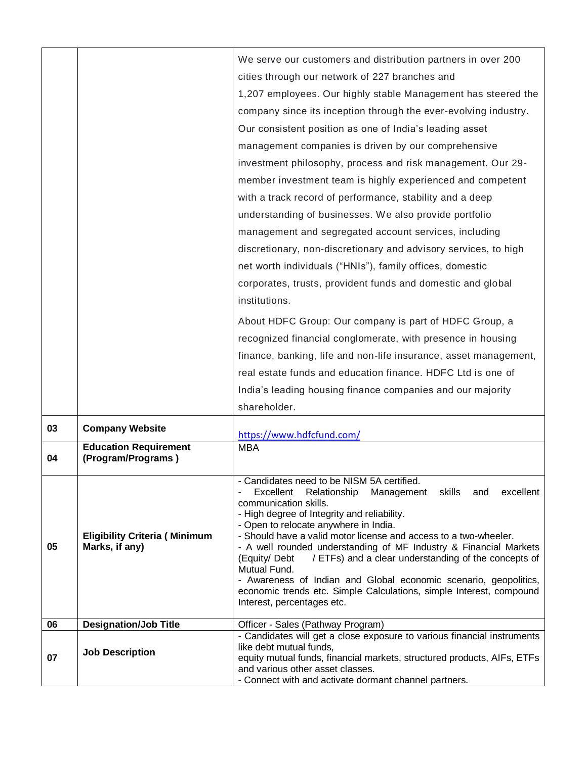| cities through our network of 227 branches and<br>1,207 employees. Our highly stable Management has steered the<br>company since its inception through the ever-evolving industry.<br>Our consistent position as one of India's leading asset<br>management companies is driven by our comprehensive<br>investment philosophy, process and risk management. Our 29-<br>member investment team is highly experienced and competent<br>with a track record of performance, stability and a deep<br>understanding of businesses. We also provide portfolio<br>management and segregated account services, including<br>discretionary, non-discretionary and advisory services, to high |                        |                                                                         |
|-------------------------------------------------------------------------------------------------------------------------------------------------------------------------------------------------------------------------------------------------------------------------------------------------------------------------------------------------------------------------------------------------------------------------------------------------------------------------------------------------------------------------------------------------------------------------------------------------------------------------------------------------------------------------------------|------------------------|-------------------------------------------------------------------------|
|                                                                                                                                                                                                                                                                                                                                                                                                                                                                                                                                                                                                                                                                                     |                        | We serve our customers and distribution partners in over 200            |
|                                                                                                                                                                                                                                                                                                                                                                                                                                                                                                                                                                                                                                                                                     |                        |                                                                         |
|                                                                                                                                                                                                                                                                                                                                                                                                                                                                                                                                                                                                                                                                                     |                        |                                                                         |
|                                                                                                                                                                                                                                                                                                                                                                                                                                                                                                                                                                                                                                                                                     |                        |                                                                         |
|                                                                                                                                                                                                                                                                                                                                                                                                                                                                                                                                                                                                                                                                                     |                        |                                                                         |
|                                                                                                                                                                                                                                                                                                                                                                                                                                                                                                                                                                                                                                                                                     |                        |                                                                         |
|                                                                                                                                                                                                                                                                                                                                                                                                                                                                                                                                                                                                                                                                                     |                        |                                                                         |
|                                                                                                                                                                                                                                                                                                                                                                                                                                                                                                                                                                                                                                                                                     |                        |                                                                         |
|                                                                                                                                                                                                                                                                                                                                                                                                                                                                                                                                                                                                                                                                                     |                        |                                                                         |
|                                                                                                                                                                                                                                                                                                                                                                                                                                                                                                                                                                                                                                                                                     |                        |                                                                         |
|                                                                                                                                                                                                                                                                                                                                                                                                                                                                                                                                                                                                                                                                                     |                        |                                                                         |
|                                                                                                                                                                                                                                                                                                                                                                                                                                                                                                                                                                                                                                                                                     |                        |                                                                         |
| net worth individuals ("HNIs"), family offices, domestic                                                                                                                                                                                                                                                                                                                                                                                                                                                                                                                                                                                                                            |                        |                                                                         |
| corporates, trusts, provident funds and domestic and global                                                                                                                                                                                                                                                                                                                                                                                                                                                                                                                                                                                                                         |                        |                                                                         |
| institutions.                                                                                                                                                                                                                                                                                                                                                                                                                                                                                                                                                                                                                                                                       |                        |                                                                         |
|                                                                                                                                                                                                                                                                                                                                                                                                                                                                                                                                                                                                                                                                                     |                        |                                                                         |
| About HDFC Group: Our company is part of HDFC Group, a                                                                                                                                                                                                                                                                                                                                                                                                                                                                                                                                                                                                                              |                        |                                                                         |
| recognized financial conglomerate, with presence in housing                                                                                                                                                                                                                                                                                                                                                                                                                                                                                                                                                                                                                         |                        |                                                                         |
| finance, banking, life and non-life insurance, asset management,                                                                                                                                                                                                                                                                                                                                                                                                                                                                                                                                                                                                                    |                        |                                                                         |
| real estate funds and education finance. HDFC Ltd is one of                                                                                                                                                                                                                                                                                                                                                                                                                                                                                                                                                                                                                         |                        |                                                                         |
| India's leading housing finance companies and our majority                                                                                                                                                                                                                                                                                                                                                                                                                                                                                                                                                                                                                          |                        |                                                                         |
| shareholder.                                                                                                                                                                                                                                                                                                                                                                                                                                                                                                                                                                                                                                                                        |                        |                                                                         |
| 03<br><b>Company Website</b><br>https://www.hdfcfund.com/                                                                                                                                                                                                                                                                                                                                                                                                                                                                                                                                                                                                                           |                        |                                                                         |
| <b>Education Requirement</b><br><b>MBA</b>                                                                                                                                                                                                                                                                                                                                                                                                                                                                                                                                                                                                                                          |                        |                                                                         |
| (Program/Programs)<br>04                                                                                                                                                                                                                                                                                                                                                                                                                                                                                                                                                                                                                                                            |                        |                                                                         |
| - Candidates need to be NISM 5A certified.                                                                                                                                                                                                                                                                                                                                                                                                                                                                                                                                                                                                                                          |                        |                                                                         |
| Excellent<br>Relationship<br>Management<br>skills<br>and<br>communication skills.                                                                                                                                                                                                                                                                                                                                                                                                                                                                                                                                                                                                   |                        | excellent                                                               |
| - High degree of Integrity and reliability.                                                                                                                                                                                                                                                                                                                                                                                                                                                                                                                                                                                                                                         |                        |                                                                         |
| - Open to relocate anywhere in India.<br>- Should have a valid motor license and access to a two-wheeler.<br><b>Eligibility Criteria (Minimum</b>                                                                                                                                                                                                                                                                                                                                                                                                                                                                                                                                   |                        |                                                                         |
| 05<br>Marks, if any)                                                                                                                                                                                                                                                                                                                                                                                                                                                                                                                                                                                                                                                                |                        | - A well rounded understanding of MF Industry & Financial Markets       |
| (Equity/ Debt<br>Mutual Fund.                                                                                                                                                                                                                                                                                                                                                                                                                                                                                                                                                                                                                                                       |                        | / ETFs) and a clear understanding of the concepts of                    |
|                                                                                                                                                                                                                                                                                                                                                                                                                                                                                                                                                                                                                                                                                     |                        | - Awareness of Indian and Global economic scenario, geopolitics,        |
|                                                                                                                                                                                                                                                                                                                                                                                                                                                                                                                                                                                                                                                                                     |                        | economic trends etc. Simple Calculations, simple Interest, compound     |
| Interest, percentages etc.                                                                                                                                                                                                                                                                                                                                                                                                                                                                                                                                                                                                                                                          |                        |                                                                         |
| 06<br><b>Designation/Job Title</b><br>Officer - Sales (Pathway Program)                                                                                                                                                                                                                                                                                                                                                                                                                                                                                                                                                                                                             |                        |                                                                         |
| like debt mutual funds,                                                                                                                                                                                                                                                                                                                                                                                                                                                                                                                                                                                                                                                             |                        | - Candidates will get a close exposure to various financial instruments |
| 07                                                                                                                                                                                                                                                                                                                                                                                                                                                                                                                                                                                                                                                                                  |                        |                                                                         |
| and various other asset classes.<br>- Connect with and activate dormant channel partners.                                                                                                                                                                                                                                                                                                                                                                                                                                                                                                                                                                                           | <b>Job Description</b> | equity mutual funds, financial markets, structured products, AIFs, ETFs |